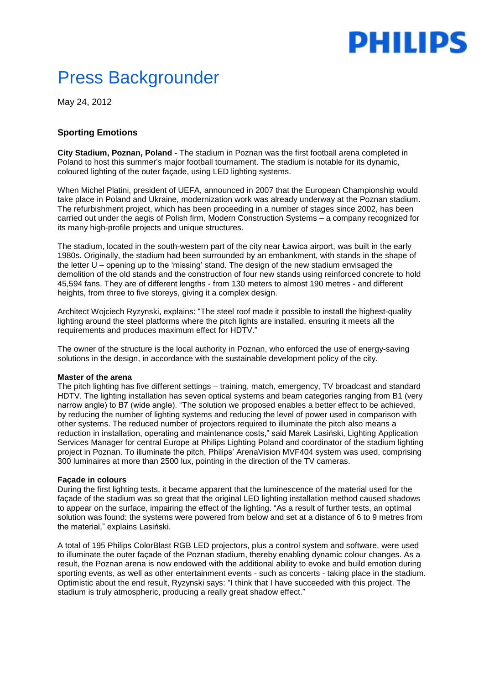# PHILIPS

## Press Backgrounder

May 24, 2012

### **Sporting Emotions**

**City Stadium, Poznan, Poland** - The stadium in Poznan was the first football arena completed in Poland to host this summer's major football tournament. The stadium is notable for its dynamic, coloured lighting of the outer façade, using LED lighting systems.

When Michel Platini, president of UEFA, announced in 2007 that the European Championship would take place in Poland and Ukraine, modernization work was already underway at the Poznan stadium. The refurbishment project, which has been proceeding in a number of stages since 2002, has been carried out under the aegis of Polish firm, Modern Construction Systems – a company recognized for its many high-profile projects and unique structures.

The stadium, located in the south-western part of the city near Ławica airport, was built in the early 1980s. Originally, the stadium had been surrounded by an embankment, with stands in the shape of the letter U – opening up to the 'missing' stand. The design of the new stadium envisaged the demolition of the old stands and the construction of four new stands using reinforced concrete to hold 45,594 fans. They are of different lengths - from 130 meters to almost 190 metres - and different heights, from three to five storeys, giving it a complex design.

Architect Wojciech Ryzynski, explains: "The steel roof made it possible to install the highest-quality lighting around the steel platforms where the pitch lights are installed, ensuring it meets all the requirements and produces maximum effect for HDTV."

The owner of the structure is the local authority in Poznan, who enforced the use of energy-saving solutions in the design, in accordance with the sustainable development policy of the city.

#### **Master of the arena**

The pitch lighting has five different settings – training, match, emergency, TV broadcast and standard HDTV. The lighting installation has seven optical systems and beam categories ranging from B1 (very narrow angle) to B7 (wide angle). "The solution we proposed enables a better effect to be achieved, by reducing the number of lighting systems and reducing the level of power used in comparison with other systems. The reduced number of projectors required to illuminate the pitch also means a reduction in installation, operating and maintenance costs," said Marek Lasiński, Lighting Application Services Manager for central Europe at Philips Lighting Poland and coordinator of the stadium lighting project in Poznan. To illuminate the pitch, Philips' ArenaVision MVF404 system was used, comprising 300 luminaires at more than 2500 lux, pointing in the direction of the TV cameras.

#### **Façade in colours**

During the first lighting tests, it became apparent that the luminescence of the material used for the façade of the stadium was so great that the original LED lighting installation method caused shadows to appear on the surface, impairing the effect of the lighting. "As a result of further tests, an optimal solution was found: the systems were powered from below and set at a distance of 6 to 9 metres from the material," explains Lasiński.

A total of 195 Philips ColorBlast RGB LED projectors, plus a control system and software, were used to illuminate the outer façade of the Poznan stadium, thereby enabling dynamic colour changes. As a result, the Poznan arena is now endowed with the additional ability to evoke and build emotion during sporting events, as well as other entertainment events - such as concerts - taking place in the stadium. Optimistic about the end result, Ryzynski says: "I think that I have succeeded with this project. The stadium is truly atmospheric, producing a really great shadow effect."